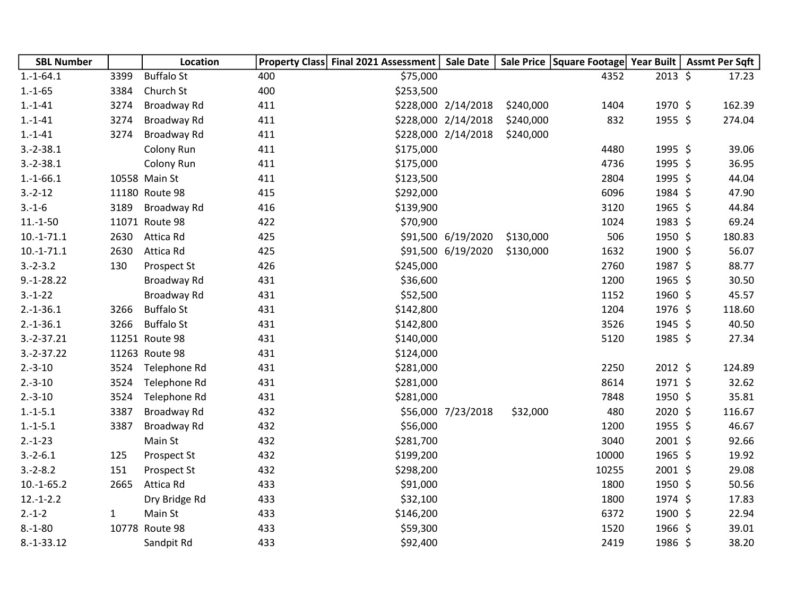| <b>SBL Number</b> |              | Location          |     | Property Class Final 2021 Assessment | <b>Sale Date</b>    |           | Sale Price   Square Footage  Year Built |         | Assmt Per Sqft |
|-------------------|--------------|-------------------|-----|--------------------------------------|---------------------|-----------|-----------------------------------------|---------|----------------|
| $1.-1-64.1$       | 3399         | <b>Buffalo St</b> | 400 | \$75,000                             |                     |           | 4352                                    | 2013 \$ | 17.23          |
| $1.-1-65$         | 3384         | Church St         | 400 | \$253,500                            |                     |           |                                         |         |                |
| $1.-1-41$         | 3274         | Broadway Rd       | 411 |                                      | \$228,000 2/14/2018 | \$240,000 | 1404                                    | 1970 \$ | 162.39         |
| $1 - 1 - 41$      | 3274         | Broadway Rd       | 411 |                                      | \$228,000 2/14/2018 | \$240,000 | 832                                     | 1955 \$ | 274.04         |
| $1.-1-41$         | 3274         | Broadway Rd       | 411 |                                      | \$228,000 2/14/2018 | \$240,000 |                                         |         |                |
| $3.-2-38.1$       |              | Colony Run        | 411 | \$175,000                            |                     |           | 4480                                    | 1995 \$ | 39.06          |
| $3.-2-38.1$       |              | Colony Run        | 411 | \$175,000                            |                     |           | 4736                                    | 1995 \$ | 36.95          |
| $1.-1-66.1$       |              | 10558 Main St     | 411 | \$123,500                            |                     |           | 2804                                    | 1995 \$ | 44.04          |
| $3.-2-12$         |              | 11180 Route 98    | 415 | \$292,000                            |                     |           | 6096                                    | 1984 \$ | 47.90          |
| $3.-1-6$          | 3189         | Broadway Rd       | 416 | \$139,900                            |                     |           | 3120                                    | 1965 \$ | 44.84          |
| $11.-1-50$        |              | 11071 Route 98    | 422 | \$70,900                             |                     |           | 1024                                    | 1983 \$ | 69.24          |
| $10.-1-71.1$      | 2630         | Attica Rd         | 425 |                                      | \$91,500 6/19/2020  | \$130,000 | 506                                     | 1950 \$ | 180.83         |
| $10.-1-71.1$      | 2630         | Attica Rd         | 425 |                                      | \$91,500 6/19/2020  | \$130,000 | 1632                                    | 1900 \$ | 56.07          |
| $3.-2-3.2$        | 130          | Prospect St       | 426 | \$245,000                            |                     |           | 2760                                    | 1987 \$ | 88.77          |
| $9.-1-28.22$      |              | Broadway Rd       | 431 | \$36,600                             |                     |           | 1200                                    | 1965 \$ | 30.50          |
| $3.-1-22$         |              | Broadway Rd       | 431 | \$52,500                             |                     |           | 1152                                    | 1960 \$ | 45.57          |
| $2.-1-36.1$       | 3266         | <b>Buffalo St</b> | 431 | \$142,800                            |                     |           | 1204                                    | 1976 \$ | 118.60         |
| $2.-1-36.1$       | 3266         | <b>Buffalo St</b> | 431 | \$142,800                            |                     |           | 3526                                    | 1945 \$ | 40.50          |
| $3.-2-37.21$      |              | 11251 Route 98    | 431 | \$140,000                            |                     |           | 5120                                    | 1985 \$ | 27.34          |
| $3.-2-37.22$      |              | 11263 Route 98    | 431 | \$124,000                            |                     |           |                                         |         |                |
| $2.-3-10$         | 3524         | Telephone Rd      | 431 | \$281,000                            |                     |           | 2250                                    | 2012 \$ | 124.89         |
| $2.-3-10$         | 3524         | Telephone Rd      | 431 | \$281,000                            |                     |           | 8614                                    | 1971 \$ | 32.62          |
| $2.-3-10$         | 3524         | Telephone Rd      | 431 | \$281,000                            |                     |           | 7848                                    | 1950 \$ | 35.81          |
| $1.-1-5.1$        | 3387         | Broadway Rd       | 432 |                                      | \$56,000 7/23/2018  | \$32,000  | 480                                     | 2020 \$ | 116.67         |
| $1.-1-5.1$        | 3387         | Broadway Rd       | 432 | \$56,000                             |                     |           | 1200                                    | 1955 \$ | 46.67          |
| $2.-1-23$         |              | Main St           | 432 | \$281,700                            |                     |           | 3040                                    | 2001 \$ | 92.66          |
| $3.-2-6.1$        | 125          | Prospect St       | 432 | \$199,200                            |                     |           | 10000                                   | 1965 \$ | 19.92          |
| $3.-2-8.2$        | 151          | Prospect St       | 432 | \$298,200                            |                     |           | 10255                                   | 2001 \$ | 29.08          |
| $10.-1-65.2$      | 2665         | Attica Rd         | 433 | \$91,000                             |                     |           | 1800                                    | 1950 \$ | 50.56          |
| $12.-1-2.2$       |              | Dry Bridge Rd     | 433 | \$32,100                             |                     |           | 1800                                    | 1974 \$ | 17.83          |
| $2.-1-2$          | $\mathbf{1}$ | Main St           | 433 | \$146,200                            |                     |           | 6372                                    | 1900 \$ | 22.94          |
| $8.-1-80$         |              | 10778 Route 98    | 433 | \$59,300                             |                     |           | 1520                                    | 1966 \$ | 39.01          |
| $8.-1-33.12$      |              | Sandpit Rd        | 433 | \$92,400                             |                     |           | 2419                                    | 1986 \$ | 38.20          |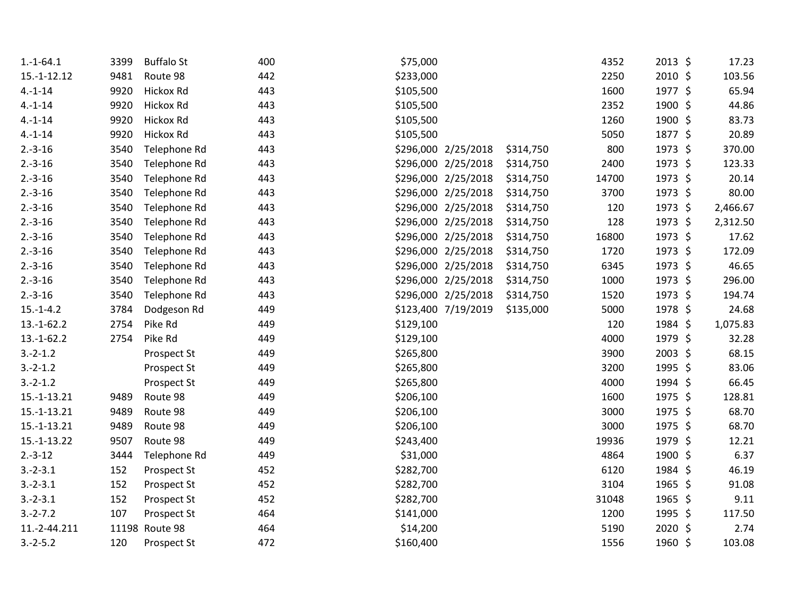| $1.-1-64.1$  | 3399 | <b>Buffalo St</b> | 400 | \$75,000  |                     |           | 4352  | 2013 \$ | 17.23    |
|--------------|------|-------------------|-----|-----------|---------------------|-----------|-------|---------|----------|
| 15.-1-12.12  | 9481 | Route 98          | 442 | \$233,000 |                     |           | 2250  | 2010 \$ | 103.56   |
| $4.-1-14$    | 9920 | Hickox Rd         | 443 | \$105,500 |                     |           | 1600  | 1977 \$ | 65.94    |
| $4 - 1 - 14$ | 9920 | Hickox Rd         | 443 | \$105,500 |                     |           | 2352  | 1900 \$ | 44.86    |
| $4 - 1 - 14$ | 9920 | Hickox Rd         | 443 | \$105,500 |                     |           | 1260  | 1900 \$ | 83.73    |
| $4 - 1 - 14$ | 9920 | Hickox Rd         | 443 | \$105,500 |                     |           | 5050  | 1877 \$ | 20.89    |
| $2.-3-16$    | 3540 | Telephone Rd      | 443 |           | \$296,000 2/25/2018 | \$314,750 | 800   | 1973 \$ | 370.00   |
| $2.-3-16$    | 3540 | Telephone Rd      | 443 |           | \$296,000 2/25/2018 | \$314,750 | 2400  | 1973 \$ | 123.33   |
| $2.-3-16$    | 3540 | Telephone Rd      | 443 |           | \$296,000 2/25/2018 | \$314,750 | 14700 | 1973 \$ | 20.14    |
| $2.-3-16$    | 3540 | Telephone Rd      | 443 |           | \$296,000 2/25/2018 | \$314,750 | 3700  | 1973 \$ | 80.00    |
| $2.-3-16$    | 3540 | Telephone Rd      | 443 |           | \$296,000 2/25/2018 | \$314,750 | 120   | 1973 \$ | 2,466.67 |
| $2.-3-16$    | 3540 | Telephone Rd      | 443 |           | \$296,000 2/25/2018 | \$314,750 | 128   | 1973 \$ | 2,312.50 |
| $2.-3-16$    | 3540 | Telephone Rd      | 443 |           | \$296,000 2/25/2018 | \$314,750 | 16800 | 1973 \$ | 17.62    |
| $2.-3-16$    | 3540 | Telephone Rd      | 443 |           | \$296,000 2/25/2018 | \$314,750 | 1720  | 1973 \$ | 172.09   |
| $2.-3-16$    | 3540 | Telephone Rd      | 443 |           | \$296,000 2/25/2018 | \$314,750 | 6345  | 1973 \$ | 46.65    |
| $2.-3-16$    | 3540 | Telephone Rd      | 443 |           | \$296,000 2/25/2018 | \$314,750 | 1000  | 1973 \$ | 296.00   |
| $2.-3-16$    | 3540 | Telephone Rd      | 443 |           | \$296,000 2/25/2018 | \$314,750 | 1520  | 1973 \$ | 194.74   |
| $15.-1-4.2$  | 3784 | Dodgeson Rd       | 449 |           | \$123,400 7/19/2019 | \$135,000 | 5000  | 1978 \$ | 24.68    |
| $13.-1-62.2$ | 2754 | Pike Rd           | 449 | \$129,100 |                     |           | 120   | 1984 \$ | 1,075.83 |
| $13.-1-62.2$ | 2754 | Pike Rd           | 449 | \$129,100 |                     |           | 4000  | 1979 \$ | 32.28    |
| $3.-2-1.2$   |      | Prospect St       | 449 | \$265,800 |                     |           | 3900  | 2003 \$ | 68.15    |
| $3.-2-1.2$   |      | Prospect St       | 449 | \$265,800 |                     |           | 3200  | 1995 \$ | 83.06    |
| $3.-2-1.2$   |      | Prospect St       | 449 | \$265,800 |                     |           | 4000  | 1994 \$ | 66.45    |
| 15.-1-13.21  | 9489 | Route 98          | 449 | \$206,100 |                     |           | 1600  | 1975 \$ | 128.81   |
| 15.-1-13.21  | 9489 | Route 98          | 449 | \$206,100 |                     |           | 3000  | 1975 \$ | 68.70    |
| 15.-1-13.21  | 9489 | Route 98          | 449 | \$206,100 |                     |           | 3000  | 1975 \$ | 68.70    |
| 15.-1-13.22  | 9507 | Route 98          | 449 | \$243,400 |                     |           | 19936 | 1979 \$ | 12.21    |
| $2.-3-12$    | 3444 | Telephone Rd      | 449 | \$31,000  |                     |           | 4864  | 1900 \$ | 6.37     |
| $3.-2-3.1$   | 152  | Prospect St       | 452 | \$282,700 |                     |           | 6120  | 1984 \$ | 46.19    |
| $3.-2-3.1$   | 152  | Prospect St       | 452 | \$282,700 |                     |           | 3104  | 1965 \$ | 91.08    |
| $3.-2-3.1$   | 152  | Prospect St       | 452 | \$282,700 |                     |           | 31048 | 1965 \$ | 9.11     |
| $3.-2-.7.2$  | 107  | Prospect St       | 464 | \$141,000 |                     |           | 1200  | 1995 \$ | 117.50   |
| 11.-2-44.211 |      | 11198 Route 98    | 464 | \$14,200  |                     |           | 5190  | 2020 \$ | 2.74     |
| $3.-2-5.2$   | 120  | Prospect St       | 472 | \$160,400 |                     |           | 1556  | 1960 \$ | 103.08   |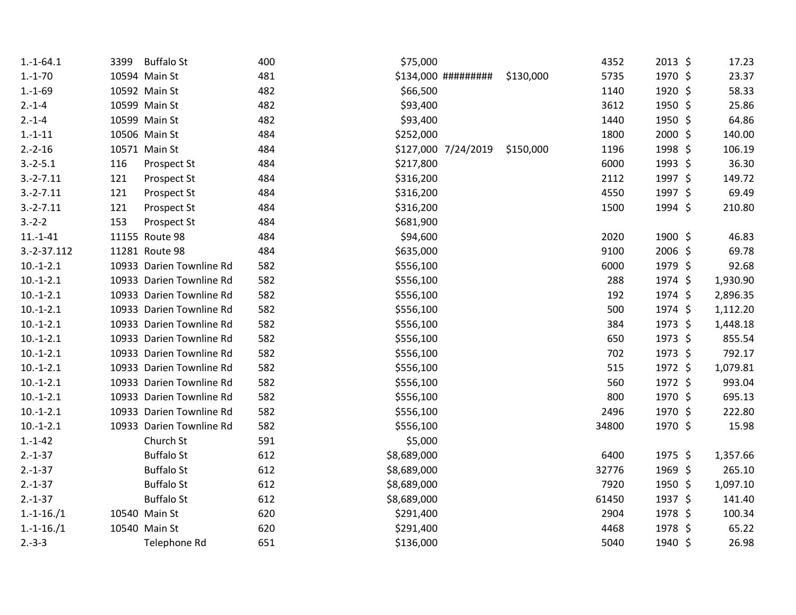| $1.-1-64.1$  | 3399 | <b>Buffalo St</b>        | 400 | \$75,000    |                     |           | 4352  | 2013 \$ | 17.23    |
|--------------|------|--------------------------|-----|-------------|---------------------|-----------|-------|---------|----------|
| $1.-1-70$    |      | 10594 Main St            | 481 |             | \$134,000 ######### | \$130,000 | 5735  | 1970 \$ | 23.37    |
| $1.-1-69$    |      | 10592 Main St            | 482 | \$66,500    |                     |           | 1140  | 1920 \$ | 58.33    |
| $2.-1-4$     |      | 10599 Main St            | 482 | \$93,400    |                     |           | 3612  | 1950 \$ | 25.86    |
| $2.-1-4$     |      | 10599 Main St            | 482 | \$93,400    |                     |           | 1440  | 1950 \$ | 64.86    |
| $1.-1-11$    |      | 10506 Main St            | 484 | \$252,000   |                     |           | 1800  | 2000 \$ | 140.00   |
| $2.-2-16$    |      | 10571 Main St            | 484 |             | \$127,000 7/24/2019 | \$150,000 | 1196  | 1998 \$ | 106.19   |
| $3.-2-5.1$   | 116  | Prospect St              | 484 | \$217,800   |                     |           | 6000  | 1993 \$ | 36.30    |
| $3.-2-.7.11$ | 121  | Prospect St              | 484 | \$316,200   |                     |           | 2112  | 1997 \$ | 149.72   |
| $3.-2-.7.11$ | 121  | Prospect St              | 484 | \$316,200   |                     |           | 4550  | 1997 \$ | 69.49    |
| $3.-2-.7.11$ | 121  | Prospect St              | 484 | \$316,200   |                     |           | 1500  | 1994 \$ | 210.80   |
| $3.-2-2$     | 153  | Prospect St              | 484 | \$681,900   |                     |           |       |         |          |
| $11.-1-41$   |      | 11155 Route 98           | 484 | \$94,600    |                     |           | 2020  | 1900 \$ | 46.83    |
| 3.-2-37.112  |      | 11281 Route 98           | 484 | \$635,000   |                     |           | 9100  | 2006 \$ | 69.78    |
| $10.-1-2.1$  |      | 10933 Darien Townline Rd | 582 | \$556,100   |                     |           | 6000  | 1979 \$ | 92.68    |
| $10.-1-2.1$  |      | 10933 Darien Townline Rd | 582 | \$556,100   |                     |           | 288   | 1974 \$ | 1,930.90 |
| $10.-1-2.1$  |      | 10933 Darien Townline Rd | 582 | \$556,100   |                     |           | 192   | 1974 \$ | 2,896.35 |
| $10.-1-2.1$  |      | 10933 Darien Townline Rd | 582 | \$556,100   |                     |           | 500   | 1974 \$ | 1,112.20 |
| $10.-1-2.1$  |      | 10933 Darien Townline Rd | 582 | \$556,100   |                     |           | 384   | 1973 \$ | 1,448.18 |
| $10.-1-2.1$  |      | 10933 Darien Townline Rd | 582 | \$556,100   |                     |           | 650   | 1973 \$ | 855.54   |
| $10.-1-2.1$  |      | 10933 Darien Townline Rd | 582 | \$556,100   |                     |           | 702   | 1973 \$ | 792.17   |
| $10.-1-2.1$  |      | 10933 Darien Townline Rd | 582 | \$556,100   |                     |           | 515   | 1972 \$ | 1,079.81 |
| $10.-1-2.1$  |      | 10933 Darien Townline Rd | 582 | \$556,100   |                     |           | 560   | 1972 \$ | 993.04   |
| $10.-1-2.1$  |      | 10933 Darien Townline Rd | 582 | \$556,100   |                     |           | 800   | 1970 \$ | 695.13   |
| $10.-1-2.1$  |      | 10933 Darien Townline Rd | 582 | \$556,100   |                     |           | 2496  | 1970 \$ | 222.80   |
| $10.-1-2.1$  |      | 10933 Darien Townline Rd | 582 | \$556,100   |                     |           | 34800 | 1970 \$ | 15.98    |
| $1.-1-42$    |      | Church St                | 591 | \$5,000     |                     |           |       |         |          |
| $2.-1-37$    |      | <b>Buffalo St</b>        | 612 | \$8,689,000 |                     |           | 6400  | 1975 \$ | 1,357.66 |
| $2.-1-37$    |      | <b>Buffalo St</b>        | 612 | \$8,689,000 |                     |           | 32776 | 1969 \$ | 265.10   |
| $2.-1-37$    |      | <b>Buffalo St</b>        | 612 | \$8,689,000 |                     |           | 7920  | 1950 \$ | 1,097.10 |
| $2.-1-37$    |      | <b>Buffalo St</b>        | 612 | \$8,689,000 |                     |           | 61450 | 1937 \$ | 141.40   |
| $1.-1-16./1$ |      | 10540 Main St            | 620 | \$291,400   |                     |           | 2904  | 1978 \$ | 100.34   |
| $1.-1-16./1$ |      | 10540 Main St            | 620 | \$291,400   |                     |           | 4468  | 1978 \$ | 65.22    |
| $2.-3-3$     |      | Telephone Rd             | 651 | \$136,000   |                     |           | 5040  | 1940 \$ | 26.98    |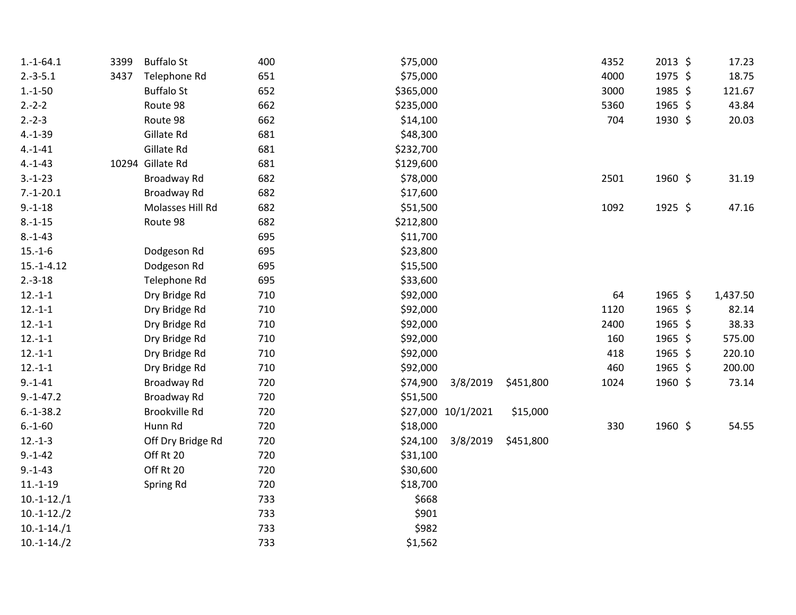| $1.-1-64.1$   | 3399 | <b>Buffalo St</b> | 400 | \$75,000  |                    |           | 4352 | 2013 \$ | 17.23    |
|---------------|------|-------------------|-----|-----------|--------------------|-----------|------|---------|----------|
| $2.-3-5.1$    | 3437 | Telephone Rd      | 651 | \$75,000  |                    |           | 4000 | 1975 \$ | 18.75    |
| $1.-1-50$     |      | <b>Buffalo St</b> | 652 | \$365,000 |                    |           | 3000 | 1985 \$ | 121.67   |
| $2.-2-2$      |      | Route 98          | 662 | \$235,000 |                    |           | 5360 | 1965 \$ | 43.84    |
| $2.-2-3$      |      | Route 98          | 662 | \$14,100  |                    |           | 704  | 1930 \$ | 20.03    |
| $4.-1-39$     |      | Gillate Rd        | 681 | \$48,300  |                    |           |      |         |          |
| $4 - 1 - 41$  |      | Gillate Rd        | 681 | \$232,700 |                    |           |      |         |          |
| $4.-1-43$     |      | 10294 Gillate Rd  | 681 | \$129,600 |                    |           |      |         |          |
| $3.-1-23$     |      | Broadway Rd       | 682 | \$78,000  |                    |           | 2501 | 1960 \$ | 31.19    |
| $7.-1-20.1$   |      | Broadway Rd       | 682 | \$17,600  |                    |           |      |         |          |
| $9.-1-18$     |      | Molasses Hill Rd  | 682 | \$51,500  |                    |           | 1092 | 1925 \$ | 47.16    |
| $8.-1-15$     |      | Route 98          | 682 | \$212,800 |                    |           |      |         |          |
| $8.-1-43$     |      |                   | 695 | \$11,700  |                    |           |      |         |          |
| $15.-1-6$     |      | Dodgeson Rd       | 695 | \$23,800  |                    |           |      |         |          |
| $15.-1-4.12$  |      | Dodgeson Rd       | 695 | \$15,500  |                    |           |      |         |          |
| $2.-3-18$     |      | Telephone Rd      | 695 | \$33,600  |                    |           |      |         |          |
| $12.-1-1$     |      | Dry Bridge Rd     | 710 | \$92,000  |                    |           | 64   | 1965 \$ | 1,437.50 |
| $12.-1-1$     |      | Dry Bridge Rd     | 710 | \$92,000  |                    |           | 1120 | 1965 \$ | 82.14    |
| $12.-1-1$     |      | Dry Bridge Rd     | 710 | \$92,000  |                    |           | 2400 | 1965 \$ | 38.33    |
| $12.-1-1$     |      | Dry Bridge Rd     | 710 | \$92,000  |                    |           | 160  | 1965 \$ | 575.00   |
| $12.-1-1$     |      | Dry Bridge Rd     | 710 | \$92,000  |                    |           | 418  | 1965 \$ | 220.10   |
| $12.-1-1$     |      | Dry Bridge Rd     | 710 | \$92,000  |                    |           | 460  | 1965 \$ | 200.00   |
| $9. - 1 - 41$ |      | Broadway Rd       | 720 | \$74,900  | 3/8/2019           | \$451,800 | 1024 | 1960 \$ | 73.14    |
| $9.-1-47.2$   |      | Broadway Rd       | 720 | \$51,500  |                    |           |      |         |          |
| $6.-1-38.2$   |      | Brookville Rd     | 720 |           | \$27,000 10/1/2021 | \$15,000  |      |         |          |
| $6.-1-60$     |      | Hunn Rd           | 720 | \$18,000  |                    |           | 330  | 1960 \$ | 54.55    |
| $12.-1-3$     |      | Off Dry Bridge Rd | 720 | \$24,100  | 3/8/2019           | \$451,800 |      |         |          |
| $9.-1-42$     |      | Off Rt 20         | 720 | \$31,100  |                    |           |      |         |          |
| $9.-1-43$     |      | Off Rt 20         | 720 | \$30,600  |                    |           |      |         |          |
| $11.-1-19$    |      | Spring Rd         | 720 | \$18,700  |                    |           |      |         |          |
| $10.-1-12./1$ |      |                   | 733 | \$668     |                    |           |      |         |          |
| $10.-1-12./2$ |      |                   | 733 | \$901     |                    |           |      |         |          |
| $10.-1-14./1$ |      |                   | 733 | \$982     |                    |           |      |         |          |
| $10.-1-14./2$ |      |                   | 733 | \$1,562   |                    |           |      |         |          |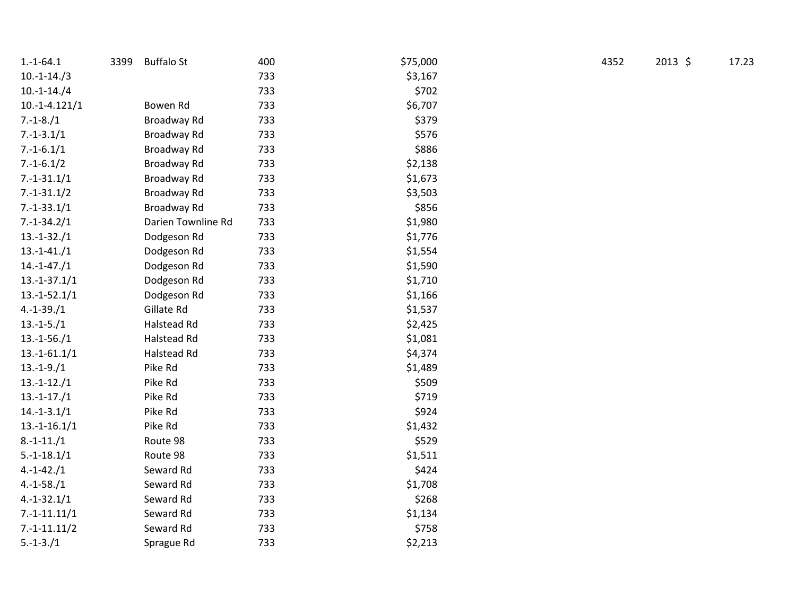| $1.-1-64.1$     | 3399 | <b>Buffalo St</b>  | 400 | \$75,000 | 4352 | $2013$ \$ | 17.23 |
|-----------------|------|--------------------|-----|----------|------|-----------|-------|
| $10.-1-14./3$   |      |                    | 733 | \$3,167  |      |           |       |
| $10.-1-14./4$   |      |                    | 733 | \$702    |      |           |       |
| $10.-1-4.121/1$ |      | Bowen Rd           | 733 | \$6,707  |      |           |       |
| $7.-1-8./1$     |      | Broadway Rd        | 733 | \$379    |      |           |       |
| $7.-1-3.1/1$    |      | Broadway Rd        | 733 | \$576    |      |           |       |
| $7.-1-6.1/1$    |      | Broadway Rd        | 733 | \$886    |      |           |       |
| $7.-1-6.1/2$    |      | Broadway Rd        | 733 | \$2,138  |      |           |       |
| $7.-1-31.1/1$   |      | Broadway Rd        | 733 | \$1,673  |      |           |       |
| $7.-1-31.1/2$   |      | Broadway Rd        | 733 | \$3,503  |      |           |       |
| $7.-1-33.1/1$   |      | Broadway Rd        | 733 | \$856    |      |           |       |
| $7.-1-34.2/1$   |      | Darien Townline Rd | 733 | \$1,980  |      |           |       |
| $13.-1-32./1$   |      | Dodgeson Rd        | 733 | \$1,776  |      |           |       |
| $13.-1-41./1$   |      | Dodgeson Rd        | 733 | \$1,554  |      |           |       |
| $14.-1-47./1$   |      | Dodgeson Rd        | 733 | \$1,590  |      |           |       |
| $13.-1-37.1/1$  |      | Dodgeson Rd        | 733 | \$1,710  |      |           |       |
| $13.-1-52.1/1$  |      | Dodgeson Rd        | 733 | \$1,166  |      |           |       |
| $4.-1-39./1$    |      | Gillate Rd         | 733 | \$1,537  |      |           |       |
| $13.-1-5./1$    |      | Halstead Rd        | 733 | \$2,425  |      |           |       |
| $13.-1-56./1$   |      | Halstead Rd        | 733 | \$1,081  |      |           |       |
| $13.-1-61.1/1$  |      | Halstead Rd        | 733 | \$4,374  |      |           |       |
| $13.-1-9./1$    |      | Pike Rd            | 733 | \$1,489  |      |           |       |
| $13.-1-12./1$   |      | Pike Rd            | 733 | \$509    |      |           |       |
| $13.-1-17./1$   |      | Pike Rd            | 733 | \$719    |      |           |       |
| $14.-1-3.1/1$   |      | Pike Rd            | 733 | \$924    |      |           |       |
| $13.-1-16.1/1$  |      | Pike Rd            | 733 | \$1,432  |      |           |       |
| $8.-1-11./1$    |      | Route 98           | 733 | \$529    |      |           |       |
| $5.-1-18.1/1$   |      | Route 98           | 733 | \$1,511  |      |           |       |
| $4.-1-42./1$    |      | Seward Rd          | 733 | \$424    |      |           |       |
| $4.-1-58./1$    |      | Seward Rd          | 733 | \$1,708  |      |           |       |
| $4.-1-32.1/1$   |      | Seward Rd          | 733 | \$268    |      |           |       |
| $7.-1-11.11/1$  |      | Seward Rd          | 733 | \$1,134  |      |           |       |
| $7.-1-11.11/2$  |      | Seward Rd          | 733 | \$758    |      |           |       |
| $5.-1-3./1$     |      | Sprague Rd         | 733 | \$2,213  |      |           |       |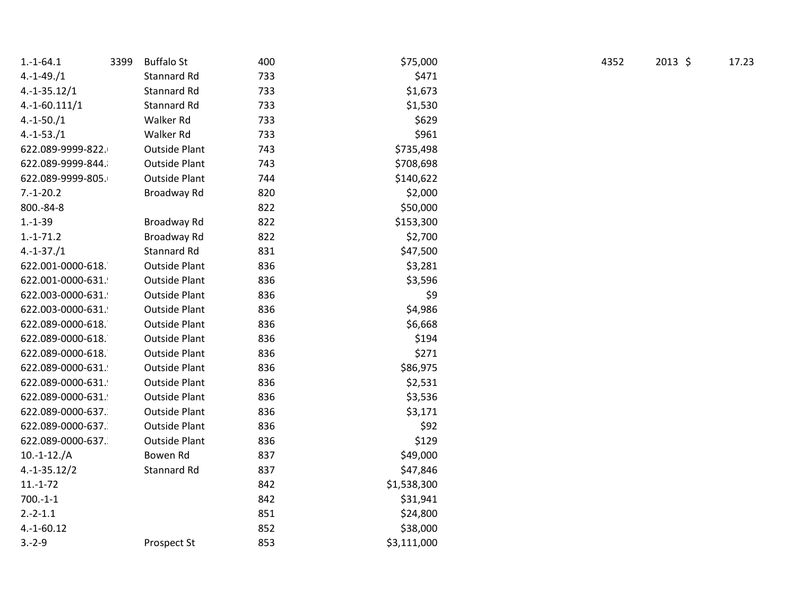| $1.-1-64.1$<br>3399 | <b>Buffalo St</b>    | 400 | \$75,000    | 4352 | $2013$ \$ | 17.23 |
|---------------------|----------------------|-----|-------------|------|-----------|-------|
| $4.-1-49./1$        | Stannard Rd          | 733 | \$471       |      |           |       |
| $4.-1-35.12/1$      | Stannard Rd          | 733 | \$1,673     |      |           |       |
| $4.-1-60.111/1$     | Stannard Rd          | 733 | \$1,530     |      |           |       |
| $4.-1-50./1$        | Walker Rd            | 733 | \$629       |      |           |       |
| $4.-1-53./1$        | Walker Rd            | 733 | \$961       |      |           |       |
| 622.089-9999-822.   | <b>Outside Plant</b> | 743 | \$735,498   |      |           |       |
| 622.089-9999-844.   | <b>Outside Plant</b> | 743 | \$708,698   |      |           |       |
| 622.089-9999-805.   | <b>Outside Plant</b> | 744 | \$140,622   |      |           |       |
| $7.-1-20.2$         | Broadway Rd          | 820 | \$2,000     |      |           |       |
| 800.-84-8           |                      | 822 | \$50,000    |      |           |       |
| $1.-1-39$           | Broadway Rd          | 822 | \$153,300   |      |           |       |
| $1.-1-71.2$         | Broadway Rd          | 822 | \$2,700     |      |           |       |
| $4.-1-37./1$        | Stannard Rd          | 831 | \$47,500    |      |           |       |
| 622.001-0000-618.   | <b>Outside Plant</b> | 836 | \$3,281     |      |           |       |
| 622.001-0000-631.   | <b>Outside Plant</b> | 836 | \$3,596     |      |           |       |
| 622.003-0000-631.   | <b>Outside Plant</b> | 836 | \$9         |      |           |       |
| 622.003-0000-631.   | <b>Outside Plant</b> | 836 | \$4,986     |      |           |       |
| 622.089-0000-618.   | <b>Outside Plant</b> | 836 | \$6,668     |      |           |       |
| 622.089-0000-618.   | <b>Outside Plant</b> | 836 | \$194       |      |           |       |
| 622.089-0000-618.   | <b>Outside Plant</b> | 836 | \$271       |      |           |       |
| 622.089-0000-631.   | <b>Outside Plant</b> | 836 | \$86,975    |      |           |       |
| 622.089-0000-631.   | <b>Outside Plant</b> | 836 | \$2,531     |      |           |       |
| 622.089-0000-631.   | <b>Outside Plant</b> | 836 | \$3,536     |      |           |       |
| 622.089-0000-637.   | <b>Outside Plant</b> | 836 | \$3,171     |      |           |       |
| 622.089-0000-637.   | <b>Outside Plant</b> | 836 | \$92        |      |           |       |
| 622.089-0000-637.   | <b>Outside Plant</b> | 836 | \$129       |      |           |       |
| $10.-1-12./A$       | Bowen Rd             | 837 | \$49,000    |      |           |       |
| $4.-1-35.12/2$      | Stannard Rd          | 837 | \$47,846    |      |           |       |
| $11.-1-72$          |                      | 842 | \$1,538,300 |      |           |       |
| $700.-1-1$          |                      | 842 | \$31,941    |      |           |       |
| $2.-2-1.1$          |                      | 851 | \$24,800    |      |           |       |
| $4.-1-60.12$        |                      | 852 | \$38,000    |      |           |       |
| $3.-2-9$            | Prospect St          | 853 | \$3,111,000 |      |           |       |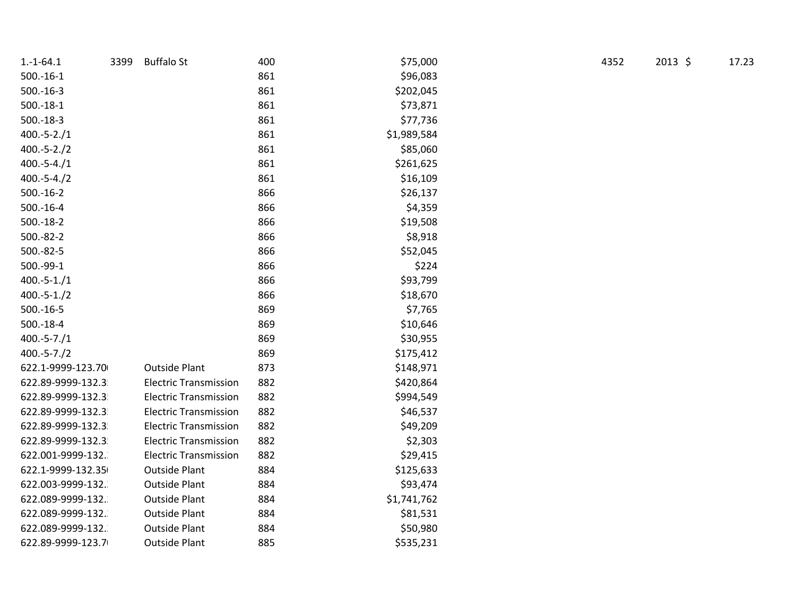| $1.-1-64.1$       | 3399 | <b>Buffalo St</b>            | 400 | \$75,000    | 4352 | $2013$ \$ | 17.23 |
|-------------------|------|------------------------------|-----|-------------|------|-----------|-------|
| $500.-16-1$       |      |                              | 861 | \$96,083    |      |           |       |
| $500.-16-3$       |      |                              | 861 | \$202,045   |      |           |       |
| $500.-18-1$       |      |                              | 861 | \$73,871    |      |           |       |
| $500.-18-3$       |      |                              | 861 | \$77,736    |      |           |       |
| $400.-5-2./1$     |      |                              | 861 | \$1,989,584 |      |           |       |
| $400.-5-2./2$     |      |                              | 861 | \$85,060    |      |           |       |
| $400.-5-4./1$     |      |                              | 861 | \$261,625   |      |           |       |
| $400.-5-4./2$     |      |                              | 861 | \$16,109    |      |           |       |
| $500.-16-2$       |      |                              | 866 | \$26,137    |      |           |       |
| $500.-16-4$       |      |                              | 866 | \$4,359     |      |           |       |
| $500.-18-2$       |      |                              | 866 | \$19,508    |      |           |       |
| 500.-82-2         |      |                              | 866 | \$8,918     |      |           |       |
| 500.-82-5         |      |                              | 866 | \$52,045    |      |           |       |
| 500.-99-1         |      |                              | 866 | \$224       |      |           |       |
| $400.-5-1./1$     |      |                              | 866 | \$93,799    |      |           |       |
| $400.-5-1./2$     |      |                              | 866 | \$18,670    |      |           |       |
| $500.-16-5$       |      |                              | 869 | \$7,765     |      |           |       |
| $500.-18-4$       |      |                              | 869 | \$10,646    |      |           |       |
| $400.-5-7./1$     |      |                              | 869 | \$30,955    |      |           |       |
| $400.-5-7./2$     |      |                              | 869 | \$175,412   |      |           |       |
| 622.1-9999-123.70 |      | <b>Outside Plant</b>         | 873 | \$148,971   |      |           |       |
| 622.89-9999-132.3 |      | <b>Electric Transmission</b> | 882 | \$420,864   |      |           |       |
| 622.89-9999-132.3 |      | <b>Electric Transmission</b> | 882 | \$994,549   |      |           |       |
| 622.89-9999-132.3 |      | <b>Electric Transmission</b> | 882 | \$46,537    |      |           |       |
| 622.89-9999-132.3 |      | <b>Electric Transmission</b> | 882 | \$49,209    |      |           |       |
| 622.89-9999-132.3 |      | <b>Electric Transmission</b> | 882 | \$2,303     |      |           |       |
| 622.001-9999-132. |      | <b>Electric Transmission</b> | 882 | \$29,415    |      |           |       |
| 622.1-9999-132.35 |      | <b>Outside Plant</b>         | 884 | \$125,633   |      |           |       |
| 622.003-9999-132. |      | <b>Outside Plant</b>         | 884 | \$93,474    |      |           |       |
| 622.089-9999-132. |      | <b>Outside Plant</b>         | 884 | \$1,741,762 |      |           |       |
| 622.089-9999-132. |      | <b>Outside Plant</b>         | 884 | \$81,531    |      |           |       |
| 622.089-9999-132. |      | <b>Outside Plant</b>         | 884 | \$50,980    |      |           |       |
| 622.89-9999-123.7 |      | <b>Outside Plant</b>         | 885 | \$535,231   |      |           |       |